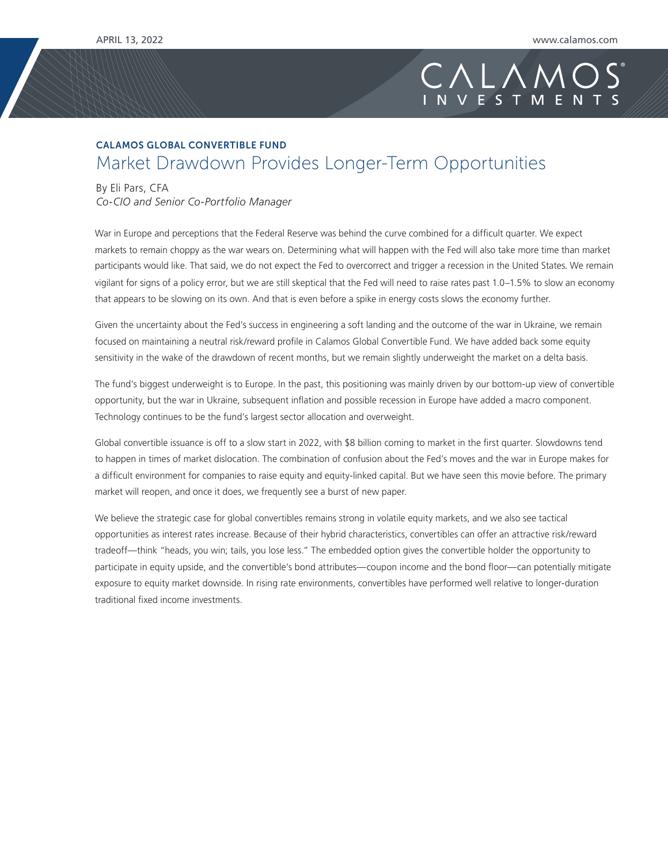## CALA

## CALAMOS GLOBAL CONVERTIBLE FUND Market Drawdown Provides Longer-Term Opportunities

By Eli Pars, CFA

*Co-CIO and Senior Co-Portfolio Manager*

War in Europe and perceptions that the Federal Reserve was behind the curve combined for a difficult quarter. We expect markets to remain choppy as the war wears on. Determining what will happen with the Fed will also take more time than market participants would like. That said, we do not expect the Fed to overcorrect and trigger a recession in the United States. We remain vigilant for signs of a policy error, but we are still skeptical that the Fed will need to raise rates past 1.0–1.5% to slow an economy that appears to be slowing on its own. And that is even before a spike in energy costs slows the economy further.

Given the uncertainty about the Fed's success in engineering a soft landing and the outcome of the war in Ukraine, we remain focused on maintaining a neutral risk/reward profile in Calamos Global Convertible Fund. We have added back some equity sensitivity in the wake of the drawdown of recent months, but we remain slightly underweight the market on a delta basis.

The fund's biggest underweight is to Europe. In the past, this positioning was mainly driven by our bottom-up view of convertible opportunity, but the war in Ukraine, subsequent inflation and possible recession in Europe have added a macro component. Technology continues to be the fund's largest sector allocation and overweight.

Global convertible issuance is off to a slow start in 2022, with \$8 billion coming to market in the first quarter. Slowdowns tend to happen in times of market dislocation. The combination of confusion about the Fed's moves and the war in Europe makes for a difficult environment for companies to raise equity and equity-linked capital. But we have seen this movie before. The primary market will reopen, and once it does, we frequently see a burst of new paper.

We believe the strategic case for global convertibles remains strong in volatile equity markets, and we also see tactical opportunities as interest rates increase. Because of their hybrid characteristics, convertibles can offer an attractive risk/reward tradeoff—think "heads, you win; tails, you lose less." The embedded option gives the convertible holder the opportunity to participate in equity upside, and the convertible's bond attributes—coupon income and the bond floor—can potentially mitigate exposure to equity market downside. In rising rate environments, convertibles have performed well relative to longer-duration traditional fixed income investments.